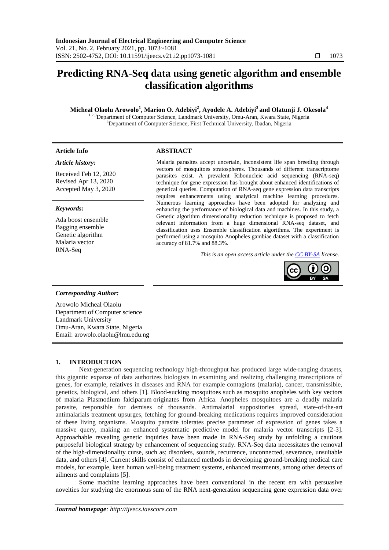# **Predicting RNA-Seq data using genetic algorithm and ensemble classification algorithms**

**Micheal Olaolu Arowolo<sup>1</sup> , Marion O. Adebiyi<sup>2</sup> , Ayodele A. Adebiyi<sup>3</sup> and Olatunji J. Okesola<sup>4</sup>**

<sup>1,2,3</sup>Department of Computer Science, Landmark University, Omu-Aran, Kwara State, Nigeria <sup>4</sup>Department of Computer Science, First Technical University, Ibadan, Nigeria

#### *Article history:*

Received Feb 12, 2020 Revised Apr 13, 2020 Accepted May 3, 2020

#### *Keywords:*

Ada boost ensemble Bagging ensemble Genetic algorithm Malaria vector RNA-Seq

# **Article Info ABSTRACT**

Malaria parasites accept uncertain, inconsistent life span breeding through vectors of mosquitoes stratospheres. Thousands of different transcriptome parasites exist. A prevalent Ribonucleic acid sequencing (RNA-seq) technique for gene expression has brought about enhanced identifications of genetical queries. Computation of RNA-seq gene expression data transcripts requires enhancements using analytical machine learning procedures. Numerous learning approaches have been adopted for analyzing and enhancing the performance of biological data and machines. In this study, a Genetic algorithm dimensionality reduction technique is proposed to fetch relevant information from a huge dimensional RNA-seq dataset, and classification uses Ensemble classification algorithms. The experiment is performed using a mosquito Anopheles gambiae dataset with a classification accuracy of 81.7% and 88.3%.

*This is an open access article under the [CC BY-SA](https://creativecommons.org/licenses/by-sa/4.0/) license.*



# *Corresponding Author:*

Arowolo Micheal Olaolu Department of Computer science Landmark University Omu-Aran, Kwara State, Nigeria Email: arowolo.olaolu@lmu.edu.ng

# **1. INTRODUCTION**

Next-generation sequencing technology high-throughput has produced large wide-ranging datasets, this gigantic expanse of data authorizes biologists in examining and realizing challenging transcriptions of genes, for example, relatives in diseases and RNA for example contagions (malaria), cancer, transmissible, genetics, biological, and others [1]. Blood-sucking mosquitoes such as mosquito anopheles with key vectors of malaria Plasmodium falciparum originates from Africa. Anopheles mosquitoes are a deadly malaria parasite, responsible for demises of thousands. Antimalarial suppositories spread, state-of-the-art antimalarials treatment upsurges, fetching for ground-breaking medications requires improved consideration of these living organisms. Mosquito parasite tolerates precise parameter of expression of genes takes a massive query, making an enhanced systematic predictive model for malaria vector transcripts [2-3]. Approachable revealing genetic inquiries have been made in RNA-Seq study by unfolding a cautious purposeful biological strategy by enhancement of sequencing study. RNA-Seq data necessitates the removal of the high-dimensionality curse, such as; disorders, sounds, recurrence, unconnected, severance, unsuitable data, and others [4]. Current skills consist of enhanced methods in developing ground-breaking medical care models, for example, keen human well-being treatment systems, enhanced treatments, among other detects of ailments and complaints [5].

Some machine learning approaches have been conventional in the recent era with persuasive novelties for studying the enormous sum of the RNA next-generation sequencing gene expression data over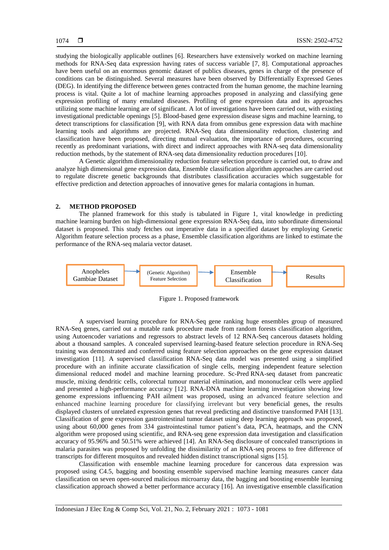studying the biologically applicable outlines [6]. Researchers have extensively worked on machine learning methods for RNA-Seq data expression having rates of success variable [7, 8]. Computational approaches have been useful on an enormous genomic dataset of publics diseases, genes in charge of the presence of conditions can be distinguished. Several measures have been observed by Differentially Expressed Genes (DEG). In identifying the difference between genes contracted from the human genome, the machine learning process is vital. Quite a lot of machine learning approaches proposed in analyzing and classifying gene expression profiling of many emulated diseases. Profiling of gene expression data and its approaches utilizing some machine learning are of significant. A lot of investigations have been carried out, with existing investigational predictable openings [5]. Blood-based gene expression disease signs and machine learning, to detect transcriptions for classification [9], with RNA data from omnibus gene expression data with machine learning tools and algorithms are projected. RNA-Seq data dimensionality reduction, clustering and classification have been proposed, directing mutual evaluation, the importance of procedures, occurring recently as predominant variations, with direct and indirect approaches with RNA-seq data dimensionality reduction methods, by the statement of RNA-seq data dimensionality reduction procedures [10].

A Genetic algorithm dimensionality reduction feature selection procedure is carried out, to draw and analyze high dimensional gene expression data, Ensemble classification algorithm approaches are carried out to regulate discrete genetic backgrounds that distributes classification accuracies which suggestable for effective prediction and detection approaches of innovative genes for malaria contagions in human.

#### **2. METHOD PROPOSED**

The planned framework for this study is tabulated in Figure 1, vital knowledge in predicting machine learning burden on high-dimensional gene expression RNA-Seq data, into subordinate dimensional dataset is proposed. This study fetches out imperative data in a specified dataset by employing Genetic Algorithm feature selection process as a phase, Ensemble classification algorithms are linked to estimate the performance of the RNA-seq malaria vector dataset.



Figure 1. Proposed framework

A supervised learning procedure for RNA-Seq gene ranking huge ensembles group of measured RNA-Seq genes, carried out a mutable rank procedure made from random forests classification algorithm, using Autoencoder variations and regressors to abstract levels of 12 RNA-Seq cancerous datasets holding about a thousand samples. A concealed supervised learning-based feature selection procedure in RNA-Seq training was demonstrated and conferred using feature selection approaches on the gene expression dataset investigation [11]. A supervised classification RNA-Seq data model was presented using a simplified procedure with an infinite accurate classification of single cells, merging independent feature selection dimensional reduced model and machine learning procedure. Sc-Pred RNA-seq dataset from pancreatic muscle, mixing dendritic cells, colorectal tumour material elimination, and mononuclear cells were applied and presented a high-performance accuracy [12]. RNA-DNA machine learning investigation showing low genome expressions influencing PAH ailment was proposed, using an advanced feature selection and enhanced machine learning procedure for classifying irrelevant but very beneficial genes, the results displayed clusters of unrelated expression genes that reveal predicting and distinctive transformed PAH [13]. Classification of gene expression gastrointestinal tumor dataset using deep learning approach was proposed, using about 60,000 genes from 334 gastrointestinal tumor patient's data, PCA, heatmaps, and the CNN algorithm were proposed using scientific, and RNA-seq gene expression data investigation and classification accuracy of 95.96% and 50.51% were achieved [14]. An RNA-Seq disclosure of concealed transcriptions in malaria parasites was proposed by unfolding the dissimilarity of an RNA-seq process to free difference of transcripts for different mosquitos and revealed hidden distinct transcriptional signs [15].

Classification with ensemble machine learning procedure for cancerous data expression was proposed using C4.5, bagging and boosting ensemble supervised machine learning measures cancer data classification on seven open-sourced malicious microarray data, the bagging and boosting ensemble learning classification approach showed a better performance accuracy [16]. An investigative ensemble classification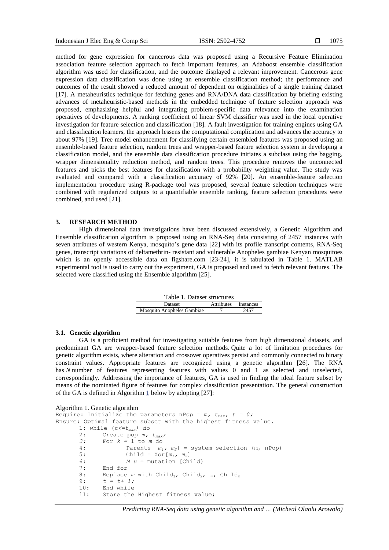method for gene expression for cancerous data was proposed using a Recursive Feature Elimination association feature selection approach to fetch important features, an Adaboost ensemble classification algorithm was used for classification, and the outcome displayed a relevant improvement. Cancerous gene expression data classification was done using an [ensemble classification method;](https://www.sciencedirect.com/topics/computer-science/ensemble-approach) the performance and outcomes of the result showed a reduced amount of dependent on originalities of a single training dataset [17]. A metaheuristics technique for fetching genes and RNA/DNA data classification by briefing existing advances of metaheuristic-based methods in the embedded technique of feature selection approach was proposed, emphasizing helpful and integrating problem-specific data relevance into the examination operatives of developments. A ranking coefficient of linear SVM classifier was used in the local operative investigation for feature selection and classification [18]. A fault investigation for training engines using GA and classification learners, the approach lessens the computational complication and advances the accuracy to about 97% [19]. Tree model enhancement for classifying certain ensembled features was proposed using an ensemble-based feature selection, random trees and wrapper-based feature selection system in developing a classification model, and the ensemble data classification procedure initiates a subclass using the bagging, wrapper dimensionality reduction method, and random trees. This procedure removes the unconnected features and picks the best features for classification with a probability weighting value. The study was evaluated and compared with a classification accuracy of 92% [20]. An ensemble-feature selection implementation procedure using R-package tool was proposed, several feature selection techniques were combined with regularized outputs to a quantifiable ensemble ranking, feature selection procedures were combined, and used [21].

# **3. RESEARCH METHOD**

High dimensional data investigations have been discussed extensively, a Genetic Algorithm and Ensemble classification algorithm is proposed using an RNA-Seq data consisting of 2457 instances with seven attributes of western Kenya, mosquito's gene data [22] with its profile transcript contents, RNA-Seq genes, transcript variations of deltamethrin- resistant and vulnerable Anopheles gambiae Kenyan mosquitoes which is an openly accessible data on figshare.com [23-24], it is tabulated in Table 1. MATLAB experimental tool is used to carry out the experiment, GA is proposed and used to fetch relevant features. The selected were classified using the Ensemble algorithm [25].

| Table 1. Dataset structures |                      |      |  |  |  |
|-----------------------------|----------------------|------|--|--|--|
| Dataset                     | Attributes Instances |      |  |  |  |
| Mosquito Anopheles Gambiae  |                      | 2457 |  |  |  |

#### **3.1. Genetic algorithm**

GA is a proficient method for investigating suitable features from high dimensional datasets, and predominant GA are wrapper-based feature selection methods. Quite a lot of limitation procedures for genetic algorithm exists, where alteration and crossover operatives persist and commonly connected to binary constraint values. Appropriate features are recognized using a genetic algorithm [26]. The RNA has *N* number of features representing features with values 0 and 1 as selected and unselected, correspondingly. Addressing the importance of features, GA is used in finding the ideal feature subset by means of the nominated figure of features for complex classification presentation. The general construction of the GA is defined in Algorithm [1](https://www.worldscientific.com/doi/10.1142/S1469026819500202#S1469026819500202FIGF5) below by adopting [27]:

```
Algorithm 1. Genetic algorithm
Require: Initialize the parameters nPop = m, t_{max}, t = 0;
Ensure: Optimal feature subset with the highest fitness value.
        1: while (t<=tmax) do
        2: Create pop m, t_{max};<br>3: For k = 1 to m do
        3: For k = 1 to m do
        4: Parents [m_1, m_2] = system selection (m, nPop)<br>5: Child = X \circ r[m_1, m_2]Child = Xor[m_1, m_2]6: M u = mutation [Child]<br>7: End for
                End for
        8: Replace m with Child<sub>1</sub>, Child<sub>2</sub>, ..., Child<sub>m</sub> 9: t = t + 1;
                t = t + 1;10: End while
        11: Store the Highest fitness value;
```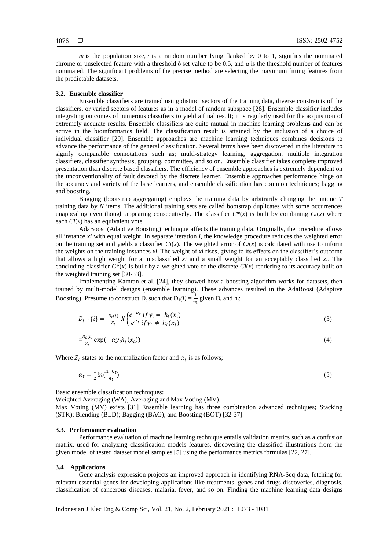$m$  is the population size,  $r$  is a random number lying flanked by 0 to 1, signifies the nominated chrome or unselected feature with a threshold  $\delta$  set value to be 0.5, and  $\alpha$  is the threshold number of features nominated. The significant problems of the precise method are selecting the maximum fitting features from the predictable datasets.

#### **3.2. Ensemble classifier**

Ensemble classifiers are trained using distinct sectors of the training data, diverse constraints of the classifiers, or varied sectors of features as in a model of random subspace [28]. Ensemble classifier includes integrating outcomes of numerous classifiers to yield a final result; it is regularly used for the acquisition of extremely accurate results. Ensemble classifiers are quite mutual in machine learning problems and can be active in the bioinformatics field. The classification result is attained by the inclusion of a choice of individual classifier [29]. Ensemble approaches are machine learning techniques combines decisions to advance the performance of the general classification. Several terms have been discovered in the literature to signify comparable connotations such as; multi-strategy learning, aggregation, multiple integration classifiers, classifier synthesis, grouping, committee, and so on. Ensemble classifier takes complete improved presentation than discrete based classifiers. The efficiency of ensemble approaches is extremely dependent on the unconventionality of fault devoted by the discrete learner. Ensemble approaches performance hinge on the accuracy and variety of the base learners, and ensemble classification has common techniques; bagging and boosting.

Bagging (bootstrap aggregating) employs the training data by arbitrarily changing the unique *T*  training data by *N* items. The additional training sets are called bootstrap duplicates with some occurrences unappealing even though appearing consecutively. The classifier  $C^*(x)$  is built by combining  $Ci(x)$  where each *Ci*(*x*) has an equivalent vote.

AdaBoost (Adaptive Boosting) technique affects the training data. Originally, the procedure allows all instance *xi* with equal weight. In separate iteration *i*, the knowledge procedure reduces the weighted error on the training set and yields a classifier  $Ci(x)$ . The weighted error of  $Ci(x)$  is calculated with use to inform the weights on the training instances *xi*. The weight of *xi* rises, giving to its effects on the classifier's outcome that allows a high weight for a misclassified *xi* and a small weight for an acceptably classified *xi*. The concluding classifier  $C^*(x)$  is built by a weighted vote of the discrete  $Ci(x)$  rendering to its accuracy built on the weighted training set [30-33].

Implementing Kamran et al. [24], they showed how a boosting algorithm works for datasets, then trained by multi-model designs (ensemble learning). These advances resulted in the AdaBoost (Adaptive Boosting). Presume to construct D<sub>t</sub> such that  $D_1(i) = \frac{1}{n}$  $\frac{1}{m}$  given  $D_t$  and  $h_t$ :

$$
D_{i+1}\{i\} = \frac{D_t(i)}{z_t} X \begin{cases} e^{-\alpha_t} & if y_i = h_t(x_i) \\ e^{\alpha_t} & if y_i \neq h_t(x_i) \end{cases}
$$
 (3)

$$
=\frac{D_t(i)}{z_t} \exp(-\alpha y_i h_t(x_i))
$$
\n<sup>(4)</sup>

Where  $Z_t$  states to the normalization factor and  $\alpha_t$  is as follows;

$$
\alpha_t = \frac{1}{2}in(\frac{1-\epsilon_t}{\epsilon_t})
$$
\n<sup>(5)</sup>

Basic ensemble classification techniques:

Weighted Averaging (WA); Averaging and Max Voting (MV).

Max Voting (MV) exists [31] Ensemble learning has three combination advanced techniques; Stacking (STK); Blending (BLD); Bagging (BAG), and Boosting (BOT) [32-37].

#### **3.3. Performance evaluation**

Performance evaluation of machine learning technique entails validation metrics such as a confusion matrix, used for analyzing classification models features, discovering the classified illustrations from the given model of tested dataset model samples [5] using the performance metrics formulas [22, 27].

#### **3.4 Applications**

Gene analysis expression projects an improved approach in identifying RNA-Seq data, fetching for relevant essential genes for developing applications like treatments, genes and drugs discoveries, diagnosis, classification of cancerous diseases, malaria, fever, and so on. Finding the machine learning data designs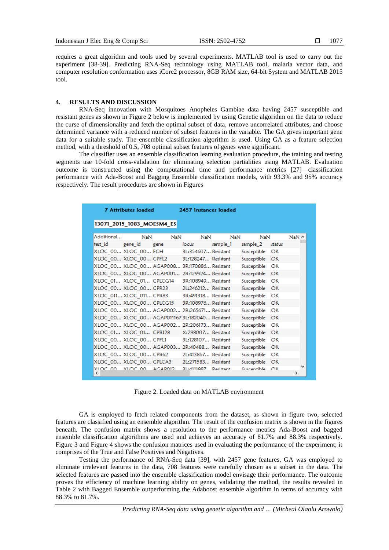requires a great algorithm and tools used by several experiments. MATLAB tool is used to carry out the experiment [38-39]. Predicting RNA-Seq technology using MATLAB tool, malaria vector data, and computer resolution conformation uses iCore2 processor, 8GB RAM size, 64-bit System and MATLAB 2015 tool.

# **4. RESULTS AND DISCUSSION**

RNA-Seq innovation with Mosquitoes Anopheles Gambiae data having 2457 susceptible and resistant genes as shown in Figure 2 below is implemented by using Genetic algorithm on the data to reduce the curse of dimensionality and fetch the optimal subset of data, remove uncorrelated attributes, and choose determined variance with a reduced number of subset features in the variable. The GA gives important gene data for a suitable study. The ensemble classification algorithm is used. Using GA as a feature selection method, with a threshold of 0.5, 708 optimal subset features of genes were significant.

The classifier uses an ensemble classification learning evaluation procedure, the training and testing segments use 10-fold cross-validation for eliminating selection partialities using MATLAB. Evaluation outcome is constructed using the computational time and performance metrics [27]—classification performance with Ada-Boost and Bagging Ensemble classification models, with 93.3% and 95% accuracy respectively. The result procedures are shown in Figures

|                           | <b>7 Attributes loaded</b> |             | 2457 Instances loaded                          |               |                |           |              |
|---------------------------|----------------------------|-------------|------------------------------------------------|---------------|----------------|-----------|--------------|
| 13071_2015_1083_MOESM4_ES |                            |             |                                                |               |                |           |              |
| Additional                | NaN                        | <b>NaN</b>  | <b>NaN</b>                                     | NaN           | <b>NaN</b>     |           | $NaN \wedge$ |
| test id                   | gene id                    | gene        | locus                                          | sample 1      | sample 2       | status    |              |
| XLOC 00 XLOC 00 ECH       |                            |             | 3L:354607 Resistant                            |               | Susceptible    | OK        |              |
| XLOC 00 XLOC 00 CPFL2     |                            |             | 3L:128247 Resistant                            |               | Susceptible OK |           |              |
|                           |                            |             | XLOC 00 XLOC 00 AGAP008 3R:170886 Resistant    |               | Susceptible OK |           |              |
|                           |                            |             | XLOC 00 XLOC 00 AGAP001 2R:129924 Resistant    |               | Susceptible OK |           |              |
| XLOC 01 XLOC 01 CPLCG14   |                            |             | 3R:108949 Resistant                            |               | Susceptible    | <b>OK</b> |              |
| XLOC 00 XLOC 00 CPR23     |                            |             | 21:246212 Resistant                            |               | Susceptible OK |           |              |
| XLOC 011 XLOC 011 CPR83   |                            |             | 3R:491318 Resistant                            |               | Susceptible OK |           |              |
| XLOC 00 XLOC 00 CPLCG15   |                            |             | 3R:108976 Resistant                            |               | Susceptible OK |           |              |
|                           |                            |             | XLOC 00 XLOC 00 AGAP002 2R:265671 Resistant    |               | Susceptible    | OK        |              |
|                           |                            |             | XLOC 00 XLOC 00 AGAP011167 3L:182040 Resistant |               | Susceptible    | OK        |              |
|                           |                            |             | XLOC_00 XLOC_00 AGAP002 2R:206173 Resistant    |               | Susceptible    | OK        |              |
| XLOC 01 XLOC 01 CPR128    |                            |             | X:298007 Resistant                             |               | Susceptible    | OK        |              |
| XLOC 00 XLOC 00 CPFL1     |                            |             | 31:128107 Resistant                            |               | Susceptible OK |           |              |
|                           |                            |             | XLOC 00 XLOC 00 AGAP003 2R:40488 Resistant     |               | Susceptible OK |           |              |
| XLOC 00 XLOC 00 CPR62     |                            |             | 21:413867 Resistant                            |               | Susceptible    | OK        |              |
| XLOC 00 XLOC 00 CPLCA3    |                            |             | 21:271583 Resistant                            |               | Susceptible    | OK        |              |
| YIOC OO<br>≺              | <b>SIOC OO</b>             | $AC$ A DO12 | 21.4111097                                     | $Dacitation+$ | Currentible    | ΩK        | Y.           |

Figure 2. Loaded data on MATLAB environment

GA is employed to fetch related components from the dataset, as shown in figure two, selected features are classified using an ensemble algorithm. The result of the confusion matrix is shown in the figures beneath. The confusion matrix shows a resolution to the performance metrics Ada-Boost and bagged ensemble classification algorithms are used and achieves an accuracy of 81.7% and 88.3% respectively. Figure 3 and Figure 4 shows the confusion matrices used in evaluating the performance of the experiment; it comprises of the True and False Positives and Negatives.

Testing the performance of RNA-Seq data [39], with 2457 gene features, GA was employed to eliminate irrelevant features in the data, 708 features were carefully chosen as a subset in the data. The selected features are passed into the ensemble classification model envisage their performance. The outcome proves the efficiency of machine learning ability on genes, validating the method, the results revealed in Table 2 with Bagged Ensemble outperforming the Adaboost ensemble algorithm in terms of accuracy with 88.3% to 81.7%.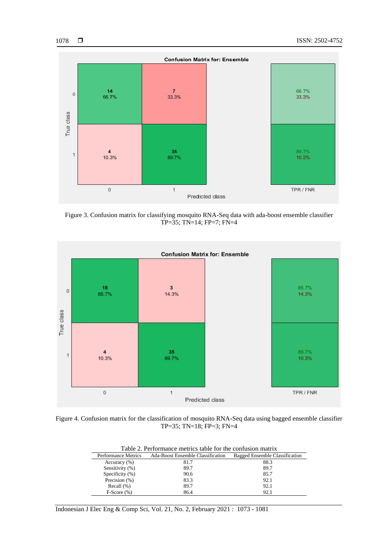

Figure 3. Confusion matrix for classifying mosquito RNA-Seq data with ada-boost ensemble classifier TP=35; TN=14; FP=7; FN=4



Figure 4. Confusion matrix for the classification of mosquito RNA-Seq data using bagged ensemble classifier TP=35; TN=18; FP=3; FN=4

| Table 2. Performance metrics table for the confusion matrix |                                          |                                |  |  |
|-------------------------------------------------------------|------------------------------------------|--------------------------------|--|--|
| <b>Performance Metrics</b>                                  | <b>Ada-Boost Ensemble Classification</b> | Bagged Ensemble Classification |  |  |
| Accuracy $(\% )$                                            | 81.7                                     | 88.3                           |  |  |
| Sensitivity (%)                                             | 89.7                                     | 89.7                           |  |  |
| Specificity $(\%)$                                          | 90.6                                     | 85.7                           |  |  |
| Precision (%)                                               | 83.3                                     | 92.1                           |  |  |
| Recall $(\%)$                                               | 89.7                                     | 92.1                           |  |  |
| $F-Score(%)$                                                | 86.4                                     | 92.1                           |  |  |

Indonesian J Elec Eng & Comp Sci, Vol. 21, No. 2, February 2021 : 1073 - 1081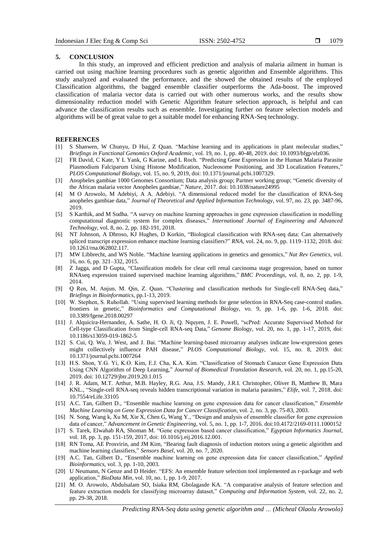#### **5. CONCLUSION**

In this study, an improved and efficient prediction and analysis of malaria ailment in human is carried out using machine learning procedures such as genetic algorithm and Ensemble algorithms. This study analyzed and evaluated the performance, and the showed the obtained results of the employed Classification algorithms, the bagged ensemble classifier outperforms the Ada-boost. The improved classification of malaria vector data is carried out with other numerous works, and the results show dimensionality reduction model with Genetic Algorithm feature selection approach, is helpful and can advance the classification results such as ensemble. Investigating further on feature selection models and algorithms will be of great value to get a suitable model for enhancing RNA-Seq technology.

#### **REFERENCES**

- [1] S Shanwen, W Chunyu, D Hui, Z Quan. "Machine learning and its applications in plant molecular studies," *Briefings in Functional Genomics Oxford Academic*, vol. 19, no. 1, pp. 40-48, 2019. doi: 10.1093/bfgp/elz036.
- [2] FR David, C Kate, Y L Yank, G Karine, and L Roch. "Predicting Gene Expression in the Human Malaria Parasite Plasmodium Falciparum Using Histone Modification, Nucleosome Positioning, and 3D Localization Features," *PLOS Computational Biology*, vol. 15, no. 9, 2019, doi: 10.1371/journal.pcbi.1007329.
- [3] Anopheles gambiae 1000 Genomes Consortium; Data analysis group; Partner working group; "Genetic diversity of the African malaria vector Anopheles gambiae," Nature, 2017. doi: 10.1038/nature24995
- [4] M O Arowolo, M Adebiyi, A A. Adebiyi. "A dimensional reduced model for the classification of RNA-Seq anopheles gambiae data," *Journal of Theoretical and Applied Information Technology*, vol. 97, no. 23, pp. 3487-96, 2019.
- [5] S Karthik, and M Sudha. "A survey on machine learning approaches in gene expression classification in modelling computational diagnostic system for complex diseases,‖ *International Journal of Engineering and Advanced Technology*, vol. 8, no. 2, pp. 182-191, 2018.
- [6] NT Johnson, A Dhroso, KJ Hughes, D Korkin, "Biological classification with RNA-seq data: Can alternatively spliced transcript expression enhance machine learning classifiers?" *RNA*, vol. 24, no. 9, pp. 1119–1132, 2018. doi: 10.1261/rna.062802.117.
- [7] MW Libbrecht, and WS Noble. "Machine learning applications in genetics and genomics," *Nat Rev Genetics*, vol. 16, no. 6, pp. 321–332, 2015.
- [8] Z Jagga, and D Gupta, "Classification models for clear cell renal carcinoma stage progression, based on tumor RNAseq expression trained supervised machine learning algorithms," *BMC Proceedings*, vol. 8, no. 2, pp. 1-9, 2014.
- [9] Q Ren, M. Anjun, M. Qin, Z. Quan. "Clustering and classification methods for Single-cell RNA-Seq data," *Briefings in Bioinformatics*, pp.1-13, 2019.
- [10] W. Stephen, S. Ruhollah. "Using supervised learning methods for gene selection in RNA-Seq case-control studies. frontiers in genetic," *Bioinformatics and Computational Biology*, vo. 9, pp. 1-6, pp. 1-6, 2018. doi: 10.3389/fgene.2018.00297
- [11] J. Alquicira-Hernandez, A. Sathe, H. O. Ji, Q. Nquyen, J. E. Powell, "scPred: Accurate Supervised Method for Cell-type Classification from Single-cell RNA-seq Data," *Genome Biology*, vol. 20, no. 1, pp. 1-17, 2019, doi: 10.1186/s13059-019-1862-5
- [12] S. Cui, Q. Wu, J. West, and J. Bai. "Machine learning-based microarray analyses indicate low-expression genes might collectively influence PAH disease," PLOS Computational Biology, vol. 15, no. 8, 2019. doi: 10.1371/journal.pcbi.1007264
- [13] H.S. Shon, Y.G. Yi, K.O. Kim, E.J. Cha, K.A. Kim. "Classification of Stomach Canacer Gene Expression Data Using CNN Algorithm of Deep Learning," *Journal of Biomedical Translation Research*, vol. 20, no. 1, pp.15-20, 2019. [doi: 10.12729/jbtr.2019.20.1.015](https://doi.org/10.12729/jbtr.2019.20.1.015)
- [14] J. R. Adam, M.T. Arthur, M.B. Hayley, R.G. Ana, J.S. Mandy, J.R.I. Christopher, Oliver B, Matthew B, Mara KNL., "Single-cell RNA-seq reveals hidden transcriptional variation in malaria parasites," *Elife*, vol. 7, 2018. doi: 10.7554/eLife.33105
- [15] A.C. Tan, Gilbert D., "Ensemble machine learning on gene expression data for cancer classification," *Ensemble Machine Learning on Gene Expression Data for Cancer Classification*, vol. 2, no. 3, pp. 75-83, 2003.
- [16] N. Song, Wang k, Xu M, Xie X, Chen G, Wang Y., "Design and analysis of ensemble classifier for gene expression data of cancer," *Advancement in Genetic Engineering, vol.* 5, no. 1, pp. 1-7, 2016. doi:10.4172/2169-0111.1000152
- [17] S. Tarek, Elwahab RA, Shoman M. "Gene expression based cancer classification," *Egyptian Informatics Journal*, vol. 18, pp. 3, pp. 151-159, 2017, doi: 10.1016/j.eij.2016.12.001.
- [18] RN Toma, AE Prosvirin, and JM Kim, "Bearing fault diagnosis of induction motors using a genetic algorithm and machine learning classifiers," *Sensors Basel*, vol. 20, no. 7, 2020.
- [19] A.C. Tan, Gilbert D., "Ensemble machine learning on gene expression data for cancer classification," *Applied Bioinformatics*, vol. 3, pp. 1-10, 2003.
- [20] U Neumann, N Genze and D Heider. "EFS: An ensemble feature selection tool implemented as r-package and web application," *BioData Min*, vol. 10, no. 1, pp. 1-9, 2017.
- [21] M. O. Arowolo, Abdulsalam SO, Isiaka RM, Gbolagasde KA. "A comparative analysis of feature selection and feature extraction models for classifying microarray dataset," *Computing and Information System*, vol. 22, no. 2, pp. 29-38, 2018.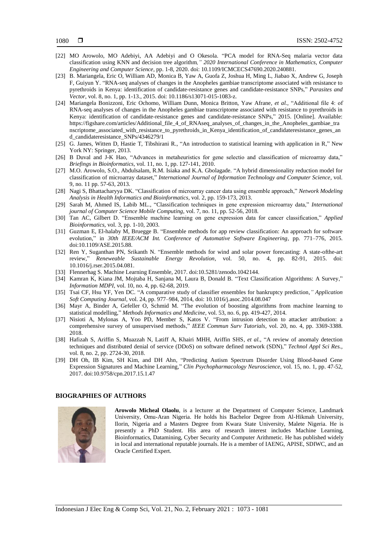- [22] MO Arowolo, MO Adebiyi, AA Adebiyi and O Okesola. "PCA model for RNA-Seq malaria vector data classification using KNN and decision tree algorithm*," 2020 International Conference in Mathematics, Computer Engineering and Computer Science,* pp. 1-8, 2020. doi: 10.1109/ICMCECS47690.2020.240881.
- [23] B. Mariangela, Eric O, William AD, Monica B, Yaw A, Guofa Z, Joshua H, Ming L, Jiabao X, Andrew G, Joseph F, Guiyun Y. "RNA-seq analyses of changes in the Anopheles gambiae transcriptome associated with resistance to pyrethroids in Kenya: identification of candidate-resistance genes and candidate-resistance SNPs," Parasites and *Vector*, vol. 8, no. 1, pp. 1-13., 2015. doi: 10.1186/s13071-015-1083-z.
- [24] Mariangela Bonizzoni, Eric Ochomo, William Dunn, Monica Britton, Yaw Afrane, et al., "Additional file 4: of RNA-seq analyses of changes in the Anopheles gambiae transcriptome associated with resistance to pyrethroids in Kenya: identification of candidate-resistance genes and candidate-resistance SNPs," 2015. [Online]. Available: https://figshare.com/articles/Additional\_file\_4\_of\_RNAseq\_analyses\_of\_changes\_in\_the\_Anopheles\_gambiae\_tra nscriptome\_associated\_with\_resistance\_to\_pyrethroids\_in\_Kenya\_identification\_of\_candidateresistance\_genes\_an d\_candidateresistance\_SNPs/4346279/1
- [25] G. James, Witten D, Hastie T, Tibshirani R., "An introduction to statistical learning with application in R," New York NY: Springer, 2013.
- [26] B Duval and J-K Hao, "Advances in metaheuristics for gene selectio and classification of microarray data," *Briefings in Bioinformatics*, vol. 11, no. 1, pp. 127-141, 2010.
- [27] M.O. Arowolo, S.O., Abdulsalam, R.M. Isiaka and K.A. Gbolagade. "A hybrid dimensionality reduction model for classification of microarray dataset,‖ *International Journal of Information Technology and Computer Science*, vol. 9, no. 11 pp. 57-63, 2013.
- [28] Nagi S, Bhattacharyya DK. "Classification of microarray cancer data using ensemble approach," Network Modeling *Analysis in Health Informatics and Bioinformatics*, vol. 2, pp. 159-173, 2013.
- [29] Sarah M, Ahmed IS, Labib ML., "Classification techniques in gene expression microarray data," *International journal of Computer Science Mobile Computing,* vol. 7, no. 11, pp. 52-56, 2018.
- [30] Tan AC, Gilbert D. "Ensemble machine learning on gene expression data for cancer classification," *Applied Bioinformatics*, vol. 3, pp. 1-10, 2003.
- [31] Guzman E, El-halaby M, Bruegge B. "Ensemble methods for app review classification: An approach for software evolution," in 30th IEEE/ACM Int. Conference of Automative Software Engineering, pp. 771-776, 2015. doi:10.1109/ASE.2015.88.
- [32] Ren Y, Suganthan PN, Srikanth N. "Ensemble methods for wind and solar power forecasting: A state-ofthe-art review,‖ *Reneweable Sustainable Energy Revolution,* vol. 50, no. 4, pp. 82-91, 2015. doi: 10.1016/j.rser.2015.04.081.
- [33] Flennerhag S. Machine Learning Ensemble, 2017. doi:10.5281/zenodo.1042144.
- [34] Kamran K, Kiana JM, Mojtaba H, Sanjana M, Laura B, Donald B. "Text Classification Algorithms: A Survey," *Information MDPI,* vol. 10, no. 4, pp. 62-68, 2019.
- [35] Tsai CF, Hsu YF, Yen DC. ―A comparative study of classifier ensembles for bankruptcy prediction*," Application Soft Computing Journal,* vol. 24, pp. 977–984, 2014, doi: 10.1016/j.asoc.2014.08.047
- [36] Mayr A, Binder A, Gefeller O, Schmid M. "The evolution of boosting algorithms from machine learning to statistical modelling,‖ *Methods Informatics and Medicine,* vol. 53, no. 6, pp. 419-427, 2014.
- [37] Nisioti A, Mylonas A, Yoo PD, Member S, Katos V. "From intrusion detection to attacker attribution: a comprehensive survey of unsupervised methods," *IEEE Commun Surv Tutorials*, vol. 20, no. 4, pp. 3369-3388. 2018.
- [38] Hafizah S, Ariffin S, Muazzah N, Latiff A, Khairi MHH, Ariffin SHS, et al., "A review of anomaly detection techniques and distributed denial of service (DDoS) on software defined network (SDN)," *Technol Appl Sci Res.*, vol. 8, no. 2, pp. 2724-30, 2018.
- [39] DH Oh, IB Kim, SH Kim, and DH Ahn, "Predicting Autism Spectrum Disorder Using Blood-based Gene Expression Signatures and Machine Learning,‖ *Clin Psychopharmacology Neuroscience*, vol. 15, no. 1, pp. 47-52, 2017. doi:10.9758/cpn.2017.15.1.47

# **BIOGRAPHIES OF AUTHORS**



**Arowolo Micheal Olaolu**, is a lecturer at the Department of Computer Science, Landmark University, Omu-Aran Nigeria. He holds his Bachelor Degree from Al-Hikmah University, Ilorin, Nigeria and a Masters Degree from Kwara State University, Malete Nigeria. He is presently a PhD Student. His area of research interest includes Machine Learning, Bioinformatics, Datamining, Cyber Security and Computer Arithmetic. He has published widely in local and international reputable journals. He is a member of IAENG, APISE, SDIWC, and an Oracle Certified Expert.